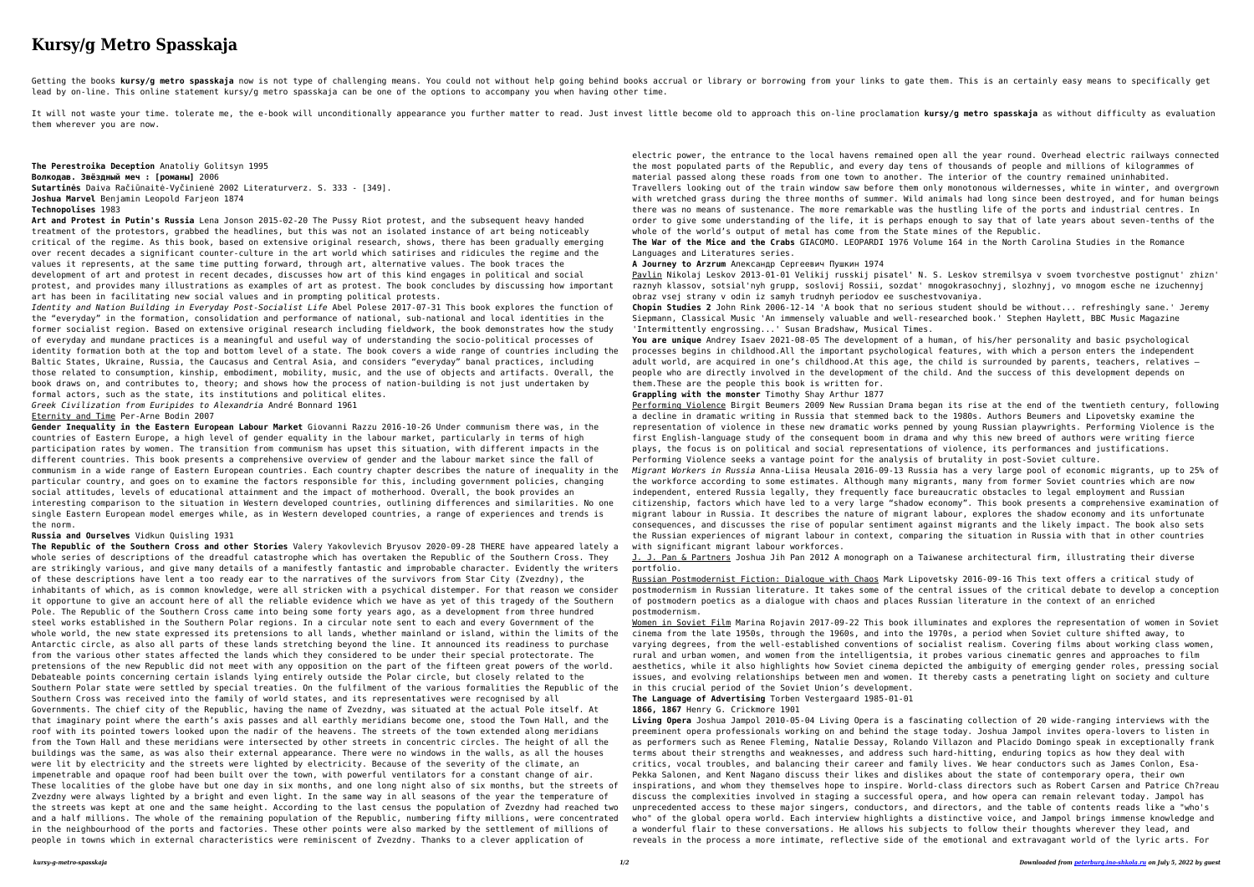## **Kursy/g Metro Spasskaja**

Getting the books kursy/g metro spasskaja now is not type of challenging means. You could not without help going behind books accrual or library or borrowing from your links to gate them. This is an certainly easy means to lead by on-line. This online statement kursy/g metro spasskaja can be one of the options to accompany you when having other time.

It will not waste your time. tolerate me, the e-book will unconditionally appearance you further matter to read. Just invest little become old to approach this on-line proclamation kursy/q metro spasskaja as without diffic them wherever you are now.

**The Perestroika Deception** Anatoliy Golitsyn 1995 **Волкодав. Звëздный меч : [романы]** 2006 **Sutartinės** Daiva Račiūnaitė-Vyčinienė 2002 Literaturverz. S. 333 - [349]. **Joshua Marvel** Benjamin Leopold Farjeon 1874 **Technopolises** 1983

**Art and Protest in Putin's Russia** Lena Jonson 2015-02-20 The Pussy Riot protest, and the subsequent heavy handed treatment of the protestors, grabbed the headlines, but this was not an isolated instance of art being noticeably critical of the regime. As this book, based on extensive original research, shows, there has been gradually emerging over recent decades a significant counter-culture in the art world which satirises and ridicules the regime and the values it represents, at the same time putting forward, through art, alternative values. The book traces the development of art and protest in recent decades, discusses how art of this kind engages in political and social protest, and provides many illustrations as examples of art as protest. The book concludes by discussing how important art has been in facilitating new social values and in prompting political protests.

*Identity and Nation Building in Everyday Post-Socialist Life* Abel Polese 2017-07-31 This book explores the function of the "everyday" in the formation, consolidation and performance of national, sub-national and local identities in the former socialist region. Based on extensive original research including fieldwork, the book demonstrates how the study of everyday and mundane practices is a meaningful and useful way of understanding the socio-political processes of identity formation both at the top and bottom level of a state. The book covers a wide range of countries including the Baltic States, Ukraine, Russia, the Caucasus and Central Asia, and considers "everyday" banal practices, including those related to consumption, kinship, embodiment, mobility, music, and the use of objects and artifacts. Overall, the book draws on, and contributes to, theory; and shows how the process of nation-building is not just undertaken by formal actors, such as the state, its institutions and political elites.

*Greek Civilization from Euripides to Alexandria* André Bonnard 1961

Eternity and Time Per-Arne Bodin 2007

**Gender Inequality in the Eastern European Labour Market** Giovanni Razzu 2016-10-26 Under communism there was, in the countries of Eastern Europe, a high level of gender equality in the labour market, particularly in terms of high participation rates by women. The transition from communism has upset this situation, with different impacts in the different countries. This book presents a comprehensive overview of gender and the labour market since the fall of communism in a wide range of Eastern European countries. Each country chapter describes the nature of inequality in the particular country, and goes on to examine the factors responsible for this, including government policies, changing social attitudes, levels of educational attainment and the impact of motherhood. Overall, the book provides an interesting comparison to the situation in Western developed countries, outlining differences and similarities. No one single Eastern European model emerges while, as in Western developed countries, a range of experiences and trends is the norm.

**Russia and Ourselves** Vidkun Quisling 1931

Performing Violence Birgit Beumers 2009 New Russian Drama began its rise at the end of the twentieth century, following a decline in dramatic writing in Russia that stemmed back to the 1980s. Authors Beumers and Lipovetsky examine the representation of violence in these new dramatic works penned by young Russian playwrights. Performing Violence is the first English-language study of the consequent boom in drama and why this new breed of authors were writing fierce plays, the focus is on political and social representations of violence, its performances and justifications. Performing Violence seeks a vantage point for the analysis of brutality in post-Soviet culture.

**The Republic of the Southern Cross and other Stories** Valery Yakovlevich Bryusov 2020-09-28 THERE have appeared lately a whole series of descriptions of the dreadful catastrophe which has overtaken the Republic of the Southern Cross. They are strikingly various, and give many details of a manifestly fantastic and improbable character. Evidently the writers of these descriptions have lent a too ready ear to the narratives of the survivors from Star City (Zvezdny), the inhabitants of which, as is common knowledge, were all stricken with a psychical distemper. For that reason we consider it opportune to give an account here of all the reliable evidence which we have as yet of this tragedy of the Southern Pole. The Republic of the Southern Cross came into being some forty years ago, as a development from three hundred steel works established in the Southern Polar regions. In a circular note sent to each and every Government of the whole world, the new state expressed its pretensions to all lands, whether mainland or island, within the limits of the Antarctic circle, as also all parts of these lands stretching beyond the line. It announced its readiness to purchase from the various other states affected the lands which they considered to be under their special protectorate. The pretensions of the new Republic did not meet with any opposition on the part of the fifteen great powers of the world. Debateable points concerning certain islands lying entirely outside the Polar circle, but closely related to the Southern Polar state were settled by special treaties. On the fulfilment of the various formalities the Republic of the Southern Cross was received into the family of world states, and its representatives were recognised by all Governments. The chief city of the Republic, having the name of Zvezdny, was situated at the actual Pole itself. At that imaginary point where the earth's axis passes and all earthly meridians become one, stood the Town Hall, and the roof with its pointed towers looked upon the nadir of the heavens. The streets of the town extended along meridians from the Town Hall and these meridians were intersected by other streets in concentric circles. The height of all the buildings was the same, as was also their external appearance. There were no windows in the walls, as all the houses were lit by electricity and the streets were lighted by electricity. Because of the severity of the climate, an impenetrable and opaque roof had been built over the town, with powerful ventilators for a constant change of air. These localities of the globe have but one day in six months, and one long night also of six months, but the streets of Zvezdny were always lighted by a bright and even light. In the same way in all seasons of the year the temperature of the streets was kept at one and the same height. According to the last census the population of Zvezdny had reached two and a half millions. The whole of the remaining population of the Republic, numbering fifty millions, were concentrated in the neighbourhood of the ports and factories. These other points were also marked by the settlement of millions of people in towns which in external characteristics were reminiscent of Zvezdny. Thanks to a clever application of

electric power, the entrance to the local havens remained open all the year round. Overhead electric railways connected the most populated parts of the Republic, and every day tens of thousands of people and millions of kilogrammes of material passed along these roads from one town to another. The interior of the country remained uninhabited. Travellers looking out of the train window saw before them only monotonous wildernesses, white in winter, and overgrown

with wretched grass during the three months of summer. Wild animals had long since been destroyed, and for human beings there was no means of sustenance. The more remarkable was the hustling life of the ports and industrial centres. In order to give some understanding of the life, it is perhaps enough to say that of late years about seven-tenths of the whole of the world's output of metal has come from the State mines of the Republic.

**The War of the Mice and the Crabs** GIACOMO. LEOPARDI 1976 Volume 164 in the North Carolina Studies in the Romance Languages and Literatures series.

**A Journey to Arzrum** Александр Сергеевич Пушкин 1974

Pavlin Nikolaj Leskov 2013-01-01 Velikij russkij pisatel' N. S. Leskov stremilsya v svoem tvorchestve postignut' zhizn' raznyh klassov, sotsial'nyh grupp, soslovij Rossii, sozdat' mnogokrasochnyj, slozhnyj, vo mnogom esche ne izuchennyj obraz vsej strany v odin iz samyh trudnyh periodov ee suschestvovaniya.

**Chopin Studies 2** John Rink 2006-12-14 'A book that no serious student should be without... refreshingly sane.' Jeremy Siepmann, Classical Music 'An immensely valuable and well-researched book.' Stephen Haylett, BBC Music Magazine 'Intermittently engrossing...' Susan Bradshaw, Musical Times.

**You are unique** Andrey Isaev 2021-08-05 The development of a human, of his/her personality and basic psychological processes begins in childhood.All the important psychological features, with which a person enters the independent adult world, are acquired in one's childhood.At this age, the child is surrounded by parents, teachers, relatives – people who are directly involved in the development of the child. And the success of this development depends on them.These are the people this book is written for.

**Grappling with the monster** Timothy Shay Arthur 1877

*Migrant Workers in Russia* Anna-Liisa Heusala 2016-09-13 Russia has a very large pool of economic migrants, up to 25% of the workforce according to some estimates. Although many migrants, many from former Soviet countries which are now independent, entered Russia legally, they frequently face bureaucratic obstacles to legal employment and Russian citizenship, factors which have led to a very large "shadow economy". This book presents a comprehensive examination of migrant labour in Russia. It describes the nature of migrant labour, explores the shadow economy and its unfortunate consequences, and discusses the rise of popular sentiment against migrants and the likely impact. The book also sets the Russian experiences of migrant labour in context, comparing the situation in Russia with that in other countries with significant migrant labour workforces.

J. J. Pan & Partners Joshua Jih Pan 2012 A monograph on a Taiwanese architectural firm, illustrating their diverse

Russian Postmodernist Fiction: Dialogue with Chaos Mark Lipovetsky 2016-09-16 This text offers a critical study of postmodernism in Russian literature. It takes some of the central issues of the critical debate to develop a conception of postmodern poetics as a dialogue with chaos and places Russian literature in the context of an enriched

portfolio. postmodernism.

Women in Soviet Film Marina Rojavin 2017-09-22 This book illuminates and explores the representation of women in Soviet cinema from the late 1950s, through the 1960s, and into the 1970s, a period when Soviet culture shifted away, to varying degrees, from the well-established conventions of socialist realism. Covering films about working class women, rural and urban women, and women from the intelligentsia, it probes various cinematic genres and approaches to film aesthetics, while it also highlights how Soviet cinema depicted the ambiguity of emerging gender roles, pressing social issues, and evolving relationships between men and women. It thereby casts a penetrating light on society and culture in this crucial period of the Soviet Union's development.

**The Language of Advertising** Torben Vestergaard 1985-01-01

**1866, 1867** Henry G. Crickmore 1901

**Living Opera** Joshua Jampol 2010-05-04 Living Opera is a fascinating collection of 20 wide-ranging interviews with the preeminent opera professionals working on and behind the stage today. Joshua Jampol invites opera-lovers to listen in as performers such as Renee Fleming, Natalie Dessay, Rolando Villazon and Placido Domingo speak in exceptionally frank terms about their strengths and weaknesses, and address such hard-hitting, enduring topics as how they deal with critics, vocal troubles, and balancing their career and family lives. We hear conductors such as James Conlon, Esa-Pekka Salonen, and Kent Nagano discuss their likes and dislikes about the state of contemporary opera, their own inspirations, and whom they themselves hope to inspire. World-class directors such as Robert Carsen and Patrice Ch?reau discuss the complexities involved in staging a successful opera, and how opera can remain relevant today. Jampol has unprecedented access to these major singers, conductors, and directors, and the table of contents reads like a "who's who" of the global opera world. Each interview highlights a distinctive voice, and Jampol brings immense knowledge and a wonderful flair to these conversations. He allows his subjects to follow their thoughts wherever they lead, and reveals in the process a more intimate, reflective side of the emotional and extravagant world of the lyric arts. For